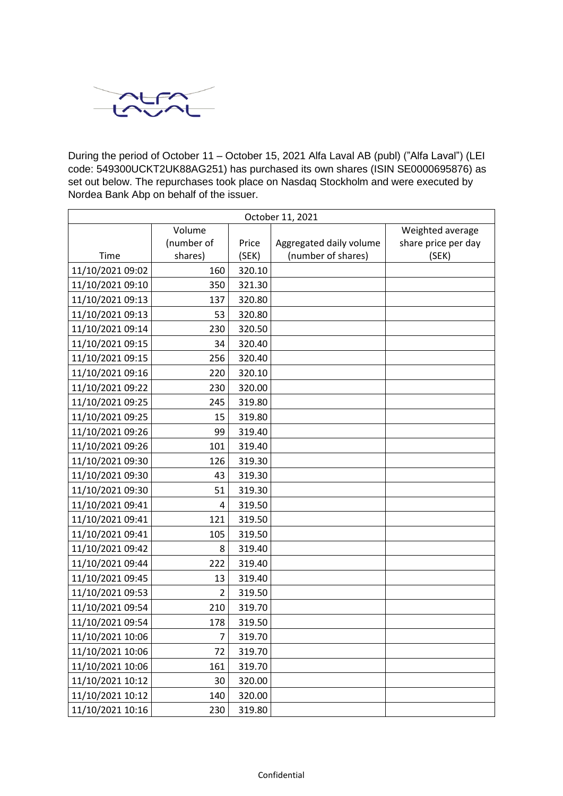

During the period of October 11 – October 15, 2021 Alfa Laval AB (publ) ("Alfa Laval") (LEI code: 549300UCKT2UK88AG251) has purchased its own shares (ISIN SE0000695876) as set out below. The repurchases took place on Nasdaq Stockholm and were executed by Nordea Bank Abp on behalf of the issuer.

| October 11, 2021 |                |        |                         |                     |
|------------------|----------------|--------|-------------------------|---------------------|
|                  | Volume         |        |                         | Weighted average    |
|                  | (number of     | Price  | Aggregated daily volume | share price per day |
| Time             | shares)        | (SEK)  | (number of shares)      | (SEK)               |
| 11/10/2021 09:02 | 160            | 320.10 |                         |                     |
| 11/10/2021 09:10 | 350            | 321.30 |                         |                     |
| 11/10/2021 09:13 | 137            | 320.80 |                         |                     |
| 11/10/2021 09:13 | 53             | 320.80 |                         |                     |
| 11/10/2021 09:14 | 230            | 320.50 |                         |                     |
| 11/10/2021 09:15 | 34             | 320.40 |                         |                     |
| 11/10/2021 09:15 | 256            | 320.40 |                         |                     |
| 11/10/2021 09:16 | 220            | 320.10 |                         |                     |
| 11/10/2021 09:22 | 230            | 320.00 |                         |                     |
| 11/10/2021 09:25 | 245            | 319.80 |                         |                     |
| 11/10/2021 09:25 | 15             | 319.80 |                         |                     |
| 11/10/2021 09:26 | 99             | 319.40 |                         |                     |
| 11/10/2021 09:26 | 101            | 319.40 |                         |                     |
| 11/10/2021 09:30 | 126            | 319.30 |                         |                     |
| 11/10/2021 09:30 | 43             | 319.30 |                         |                     |
| 11/10/2021 09:30 | 51             | 319.30 |                         |                     |
| 11/10/2021 09:41 | 4              | 319.50 |                         |                     |
| 11/10/2021 09:41 | 121            | 319.50 |                         |                     |
| 11/10/2021 09:41 | 105            | 319.50 |                         |                     |
| 11/10/2021 09:42 | 8              | 319.40 |                         |                     |
| 11/10/2021 09:44 | 222            | 319.40 |                         |                     |
| 11/10/2021 09:45 | 13             | 319.40 |                         |                     |
| 11/10/2021 09:53 | $\overline{2}$ | 319.50 |                         |                     |
| 11/10/2021 09:54 | 210            | 319.70 |                         |                     |
| 11/10/2021 09:54 | 178            | 319.50 |                         |                     |
| 11/10/2021 10:06 | 7              | 319.70 |                         |                     |
| 11/10/2021 10:06 | 72             | 319.70 |                         |                     |
| 11/10/2021 10:06 | 161            | 319.70 |                         |                     |
| 11/10/2021 10:12 | 30             | 320.00 |                         |                     |
| 11/10/2021 10:12 | 140            | 320.00 |                         |                     |
| 11/10/2021 10:16 | 230            | 319.80 |                         |                     |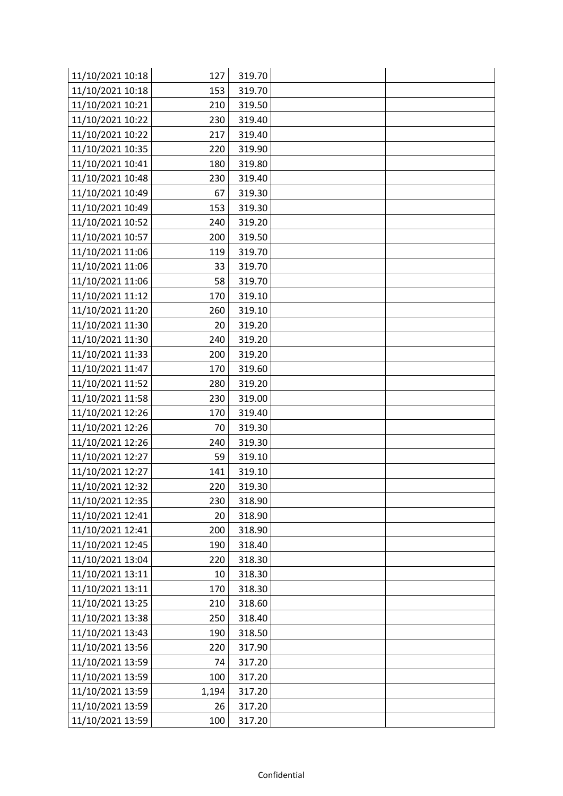| 11/10/2021 10:18 | 127   | 319.70 |  |
|------------------|-------|--------|--|
| 11/10/2021 10:18 | 153   | 319.70 |  |
| 11/10/2021 10:21 | 210   | 319.50 |  |
| 11/10/2021 10:22 | 230   | 319.40 |  |
| 11/10/2021 10:22 | 217   | 319.40 |  |
| 11/10/2021 10:35 | 220   | 319.90 |  |
| 11/10/2021 10:41 | 180   | 319.80 |  |
| 11/10/2021 10:48 | 230   | 319.40 |  |
| 11/10/2021 10:49 | 67    | 319.30 |  |
| 11/10/2021 10:49 | 153   | 319.30 |  |
| 11/10/2021 10:52 | 240   | 319.20 |  |
| 11/10/2021 10:57 | 200   | 319.50 |  |
| 11/10/2021 11:06 | 119   | 319.70 |  |
| 11/10/2021 11:06 | 33    | 319.70 |  |
| 11/10/2021 11:06 | 58    | 319.70 |  |
| 11/10/2021 11:12 | 170   | 319.10 |  |
| 11/10/2021 11:20 | 260   | 319.10 |  |
| 11/10/2021 11:30 | 20    | 319.20 |  |
| 11/10/2021 11:30 | 240   | 319.20 |  |
| 11/10/2021 11:33 | 200   | 319.20 |  |
| 11/10/2021 11:47 | 170   | 319.60 |  |
| 11/10/2021 11:52 | 280   | 319.20 |  |
| 11/10/2021 11:58 | 230   | 319.00 |  |
| 11/10/2021 12:26 | 170   | 319.40 |  |
| 11/10/2021 12:26 | 70    | 319.30 |  |
| 11/10/2021 12:26 | 240   | 319.30 |  |
| 11/10/2021 12:27 | 59    | 319.10 |  |
| 11/10/2021 12:27 | 141   | 319.10 |  |
| 11/10/2021 12:32 | 220   | 319.30 |  |
| 11/10/2021 12:35 | 230   | 318.90 |  |
| 11/10/2021 12:41 | 20    | 318.90 |  |
| 11/10/2021 12:41 | 200   | 318.90 |  |
| 11/10/2021 12:45 | 190   | 318.40 |  |
| 11/10/2021 13:04 | 220   | 318.30 |  |
| 11/10/2021 13:11 | 10    | 318.30 |  |
| 11/10/2021 13:11 | 170   | 318.30 |  |
| 11/10/2021 13:25 | 210   | 318.60 |  |
| 11/10/2021 13:38 | 250   | 318.40 |  |
| 11/10/2021 13:43 | 190   | 318.50 |  |
| 11/10/2021 13:56 | 220   | 317.90 |  |
| 11/10/2021 13:59 | 74    | 317.20 |  |
| 11/10/2021 13:59 | 100   | 317.20 |  |
| 11/10/2021 13:59 | 1,194 | 317.20 |  |
| 11/10/2021 13:59 | 26    | 317.20 |  |
| 11/10/2021 13:59 | 100   | 317.20 |  |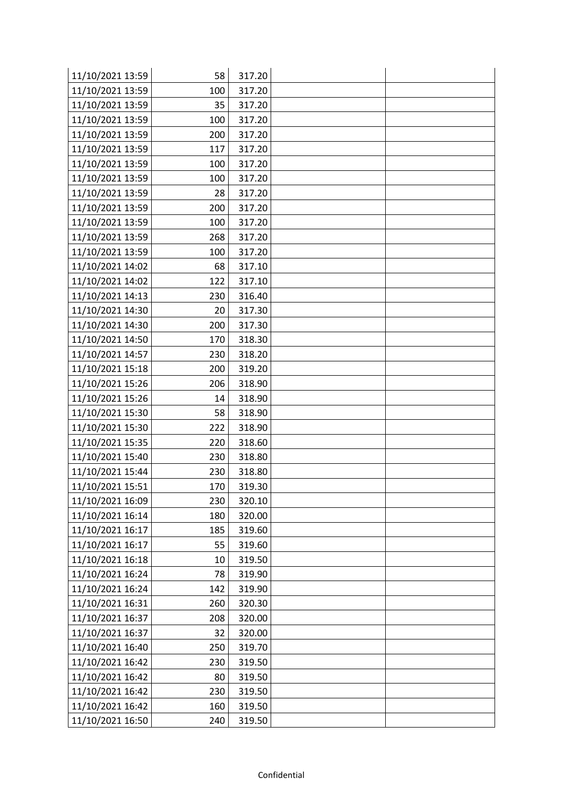| 11/10/2021 13:59 | 58  | 317.20 |  |
|------------------|-----|--------|--|
| 11/10/2021 13:59 | 100 | 317.20 |  |
| 11/10/2021 13:59 | 35  | 317.20 |  |
| 11/10/2021 13:59 | 100 | 317.20 |  |
| 11/10/2021 13:59 | 200 | 317.20 |  |
| 11/10/2021 13:59 | 117 | 317.20 |  |
| 11/10/2021 13:59 | 100 | 317.20 |  |
| 11/10/2021 13:59 | 100 | 317.20 |  |
| 11/10/2021 13:59 | 28  | 317.20 |  |
| 11/10/2021 13:59 | 200 | 317.20 |  |
| 11/10/2021 13:59 | 100 | 317.20 |  |
| 11/10/2021 13:59 | 268 | 317.20 |  |
| 11/10/2021 13:59 | 100 | 317.20 |  |
| 11/10/2021 14:02 | 68  | 317.10 |  |
| 11/10/2021 14:02 | 122 | 317.10 |  |
| 11/10/2021 14:13 | 230 | 316.40 |  |
| 11/10/2021 14:30 | 20  | 317.30 |  |
| 11/10/2021 14:30 | 200 | 317.30 |  |
| 11/10/2021 14:50 | 170 | 318.30 |  |
| 11/10/2021 14:57 | 230 | 318.20 |  |
| 11/10/2021 15:18 | 200 | 319.20 |  |
| 11/10/2021 15:26 | 206 | 318.90 |  |
| 11/10/2021 15:26 | 14  | 318.90 |  |
| 11/10/2021 15:30 | 58  | 318.90 |  |
| 11/10/2021 15:30 | 222 | 318.90 |  |
| 11/10/2021 15:35 | 220 | 318.60 |  |
| 11/10/2021 15:40 | 230 | 318.80 |  |
| 11/10/2021 15:44 | 230 | 318.80 |  |
| 11/10/2021 15:51 | 170 | 319.30 |  |
| 11/10/2021 16:09 | 230 | 320.10 |  |
| 11/10/2021 16:14 | 180 | 320.00 |  |
| 11/10/2021 16:17 | 185 | 319.60 |  |
| 11/10/2021 16:17 | 55  | 319.60 |  |
| 11/10/2021 16:18 | 10  | 319.50 |  |
| 11/10/2021 16:24 | 78  | 319.90 |  |
| 11/10/2021 16:24 | 142 | 319.90 |  |
| 11/10/2021 16:31 | 260 | 320.30 |  |
| 11/10/2021 16:37 | 208 | 320.00 |  |
| 11/10/2021 16:37 | 32  | 320.00 |  |
| 11/10/2021 16:40 | 250 | 319.70 |  |
| 11/10/2021 16:42 | 230 | 319.50 |  |
| 11/10/2021 16:42 | 80  | 319.50 |  |
| 11/10/2021 16:42 | 230 | 319.50 |  |
| 11/10/2021 16:42 | 160 | 319.50 |  |
| 11/10/2021 16:50 | 240 | 319.50 |  |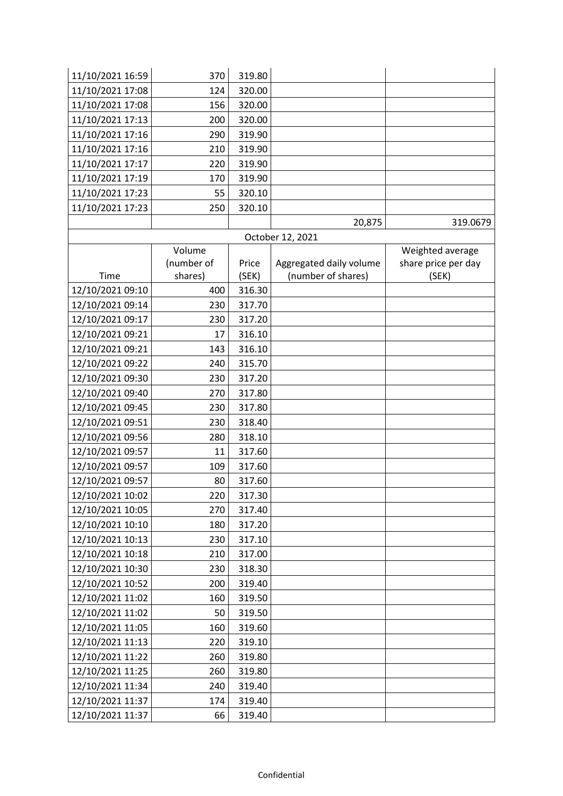| 11/10/2021 16:59 | 370        | 319.80 |                         |                     |
|------------------|------------|--------|-------------------------|---------------------|
| 11/10/2021 17:08 | 124        | 320.00 |                         |                     |
| 11/10/2021 17:08 | 156        | 320.00 |                         |                     |
| 11/10/2021 17:13 | 200        | 320.00 |                         |                     |
| 11/10/2021 17:16 | 290        | 319.90 |                         |                     |
| 11/10/2021 17:16 | 210        | 319.90 |                         |                     |
| 11/10/2021 17:17 | 220        | 319.90 |                         |                     |
| 11/10/2021 17:19 | 170        | 319.90 |                         |                     |
| 11/10/2021 17:23 | 55         | 320.10 |                         |                     |
| 11/10/2021 17:23 | 250        | 320.10 |                         |                     |
|                  |            |        | 20,875                  | 319.0679            |
|                  |            |        | October 12, 2021        |                     |
|                  | Volume     |        |                         | Weighted average    |
|                  | (number of | Price  | Aggregated daily volume | share price per day |
| Time             | shares)    | (SEK)  | (number of shares)      | (SEK)               |
| 12/10/2021 09:10 | 400        | 316.30 |                         |                     |
| 12/10/2021 09:14 | 230        | 317.70 |                         |                     |
| 12/10/2021 09:17 | 230        | 317.20 |                         |                     |
| 12/10/2021 09:21 | 17         | 316.10 |                         |                     |
| 12/10/2021 09:21 | 143        | 316.10 |                         |                     |
| 12/10/2021 09:22 | 240        | 315.70 |                         |                     |
| 12/10/2021 09:30 | 230        | 317.20 |                         |                     |
| 12/10/2021 09:40 | 270        | 317.80 |                         |                     |
| 12/10/2021 09:45 | 230        | 317.80 |                         |                     |
| 12/10/2021 09:51 | 230        | 318.40 |                         |                     |
| 12/10/2021 09:56 | 280        | 318.10 |                         |                     |
| 12/10/2021 09:57 | 11         | 317.60 |                         |                     |
| 12/10/2021 09:57 | 109        | 317.60 |                         |                     |
| 12/10/2021 09:57 | 80         | 317.60 |                         |                     |
| 12/10/2021 10:02 | 220        | 317.30 |                         |                     |
| 12/10/2021 10:05 | 270        | 317.40 |                         |                     |
| 12/10/2021 10:10 | 180        | 317.20 |                         |                     |
| 12/10/2021 10:13 | 230        | 317.10 |                         |                     |
| 12/10/2021 10:18 | 210        | 317.00 |                         |                     |
| 12/10/2021 10:30 | 230        | 318.30 |                         |                     |
| 12/10/2021 10:52 | 200        | 319.40 |                         |                     |
| 12/10/2021 11:02 | 160        | 319.50 |                         |                     |
| 12/10/2021 11:02 | 50         | 319.50 |                         |                     |
| 12/10/2021 11:05 | 160        | 319.60 |                         |                     |
| 12/10/2021 11:13 | 220        | 319.10 |                         |                     |
| 12/10/2021 11:22 | 260        | 319.80 |                         |                     |
| 12/10/2021 11:25 | 260        | 319.80 |                         |                     |
| 12/10/2021 11:34 | 240        | 319.40 |                         |                     |
| 12/10/2021 11:37 | 174        | 319.40 |                         |                     |
| 12/10/2021 11:37 | 66         | 319.40 |                         |                     |
|                  |            |        |                         |                     |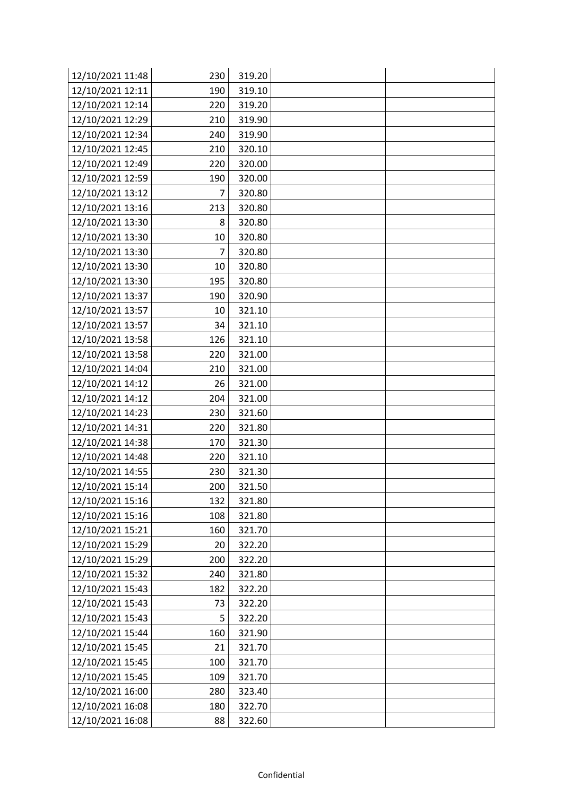| 12/10/2021 11:48 | 230 | 319.20 |  |
|------------------|-----|--------|--|
| 12/10/2021 12:11 | 190 | 319.10 |  |
| 12/10/2021 12:14 | 220 | 319.20 |  |
| 12/10/2021 12:29 | 210 | 319.90 |  |
| 12/10/2021 12:34 | 240 | 319.90 |  |
| 12/10/2021 12:45 | 210 | 320.10 |  |
| 12/10/2021 12:49 | 220 | 320.00 |  |
| 12/10/2021 12:59 | 190 | 320.00 |  |
| 12/10/2021 13:12 | 7   | 320.80 |  |
| 12/10/2021 13:16 | 213 | 320.80 |  |
| 12/10/2021 13:30 | 8   | 320.80 |  |
| 12/10/2021 13:30 | 10  | 320.80 |  |
| 12/10/2021 13:30 | 7   | 320.80 |  |
| 12/10/2021 13:30 | 10  | 320.80 |  |
| 12/10/2021 13:30 | 195 | 320.80 |  |
| 12/10/2021 13:37 | 190 | 320.90 |  |
| 12/10/2021 13:57 | 10  | 321.10 |  |
| 12/10/2021 13:57 | 34  | 321.10 |  |
| 12/10/2021 13:58 | 126 | 321.10 |  |
| 12/10/2021 13:58 | 220 | 321.00 |  |
| 12/10/2021 14:04 | 210 | 321.00 |  |
| 12/10/2021 14:12 | 26  | 321.00 |  |
| 12/10/2021 14:12 | 204 | 321.00 |  |
| 12/10/2021 14:23 | 230 | 321.60 |  |
| 12/10/2021 14:31 | 220 | 321.80 |  |
| 12/10/2021 14:38 | 170 | 321.30 |  |
| 12/10/2021 14:48 | 220 | 321.10 |  |
| 12/10/2021 14:55 | 230 | 321.30 |  |
| 12/10/2021 15:14 | 200 | 321.50 |  |
| 12/10/2021 15:16 | 132 | 321.80 |  |
| 12/10/2021 15:16 | 108 | 321.80 |  |
| 12/10/2021 15:21 | 160 | 321.70 |  |
| 12/10/2021 15:29 | 20  | 322.20 |  |
| 12/10/2021 15:29 | 200 | 322.20 |  |
| 12/10/2021 15:32 | 240 | 321.80 |  |
| 12/10/2021 15:43 | 182 | 322.20 |  |
| 12/10/2021 15:43 | 73  | 322.20 |  |
| 12/10/2021 15:43 | 5   | 322.20 |  |
| 12/10/2021 15:44 | 160 | 321.90 |  |
| 12/10/2021 15:45 | 21  | 321.70 |  |
| 12/10/2021 15:45 | 100 | 321.70 |  |
| 12/10/2021 15:45 | 109 | 321.70 |  |
| 12/10/2021 16:00 | 280 | 323.40 |  |
| 12/10/2021 16:08 | 180 | 322.70 |  |
| 12/10/2021 16:08 | 88  | 322.60 |  |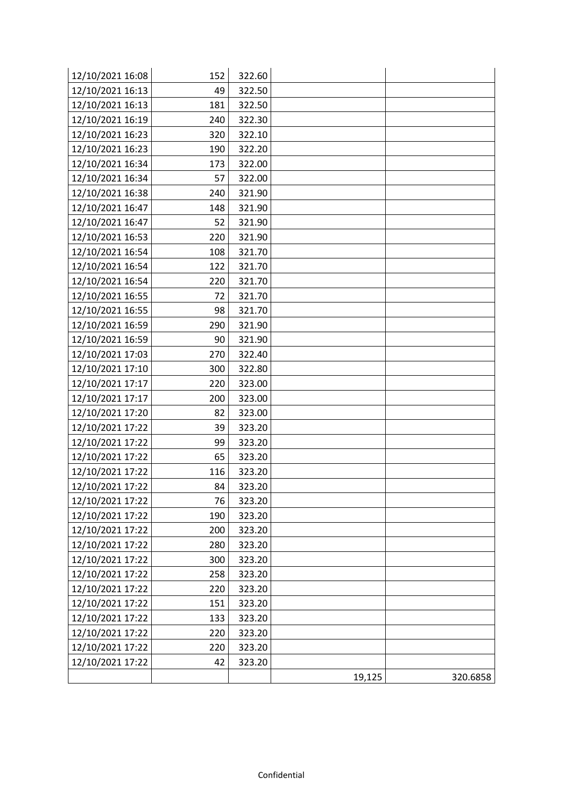| 12/10/2021 16:08 | 152 | 322.60 |        |          |
|------------------|-----|--------|--------|----------|
| 12/10/2021 16:13 | 49  | 322.50 |        |          |
| 12/10/2021 16:13 | 181 | 322.50 |        |          |
| 12/10/2021 16:19 | 240 | 322.30 |        |          |
| 12/10/2021 16:23 | 320 | 322.10 |        |          |
| 12/10/2021 16:23 | 190 | 322.20 |        |          |
| 12/10/2021 16:34 | 173 | 322.00 |        |          |
| 12/10/2021 16:34 | 57  | 322.00 |        |          |
| 12/10/2021 16:38 | 240 | 321.90 |        |          |
| 12/10/2021 16:47 | 148 | 321.90 |        |          |
| 12/10/2021 16:47 | 52  | 321.90 |        |          |
| 12/10/2021 16:53 | 220 | 321.90 |        |          |
| 12/10/2021 16:54 | 108 | 321.70 |        |          |
| 12/10/2021 16:54 | 122 | 321.70 |        |          |
| 12/10/2021 16:54 | 220 | 321.70 |        |          |
| 12/10/2021 16:55 | 72  | 321.70 |        |          |
| 12/10/2021 16:55 | 98  | 321.70 |        |          |
| 12/10/2021 16:59 | 290 | 321.90 |        |          |
| 12/10/2021 16:59 | 90  | 321.90 |        |          |
| 12/10/2021 17:03 | 270 | 322.40 |        |          |
| 12/10/2021 17:10 | 300 | 322.80 |        |          |
| 12/10/2021 17:17 | 220 | 323.00 |        |          |
| 12/10/2021 17:17 | 200 | 323.00 |        |          |
| 12/10/2021 17:20 | 82  | 323.00 |        |          |
| 12/10/2021 17:22 | 39  | 323.20 |        |          |
| 12/10/2021 17:22 | 99  | 323.20 |        |          |
| 12/10/2021 17:22 | 65  | 323.20 |        |          |
| 12/10/2021 17:22 | 116 | 323.20 |        |          |
| 12/10/2021 17:22 | 84  | 323.20 |        |          |
| 12/10/2021 17:22 | 76  | 323.20 |        |          |
| 12/10/2021 17:22 | 190 | 323.20 |        |          |
| 12/10/2021 17:22 | 200 | 323.20 |        |          |
| 12/10/2021 17:22 | 280 | 323.20 |        |          |
| 12/10/2021 17:22 | 300 | 323.20 |        |          |
| 12/10/2021 17:22 | 258 | 323.20 |        |          |
| 12/10/2021 17:22 | 220 | 323.20 |        |          |
| 12/10/2021 17:22 | 151 | 323.20 |        |          |
| 12/10/2021 17:22 | 133 | 323.20 |        |          |
| 12/10/2021 17:22 | 220 | 323.20 |        |          |
| 12/10/2021 17:22 | 220 | 323.20 |        |          |
| 12/10/2021 17:22 | 42  | 323.20 |        |          |
|                  |     |        | 19,125 | 320.6858 |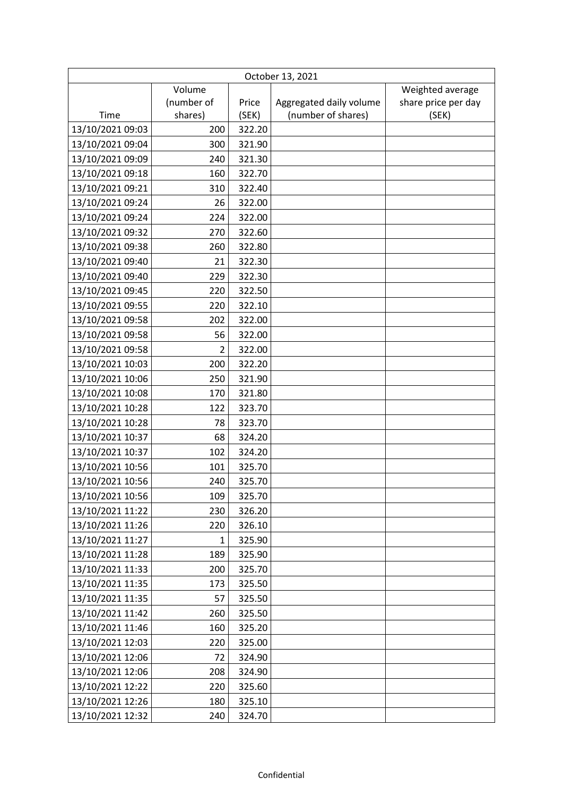| October 13, 2021 |                |        |                         |                     |
|------------------|----------------|--------|-------------------------|---------------------|
|                  | Volume         |        |                         | Weighted average    |
|                  | (number of     | Price  | Aggregated daily volume | share price per day |
| Time             | shares)        | (SEK)  | (number of shares)      | (SEK)               |
| 13/10/2021 09:03 | 200            | 322.20 |                         |                     |
| 13/10/2021 09:04 | 300            | 321.90 |                         |                     |
| 13/10/2021 09:09 | 240            | 321.30 |                         |                     |
| 13/10/2021 09:18 | 160            | 322.70 |                         |                     |
| 13/10/2021 09:21 | 310            | 322.40 |                         |                     |
| 13/10/2021 09:24 | 26             | 322.00 |                         |                     |
| 13/10/2021 09:24 | 224            | 322.00 |                         |                     |
| 13/10/2021 09:32 | 270            | 322.60 |                         |                     |
| 13/10/2021 09:38 | 260            | 322.80 |                         |                     |
| 13/10/2021 09:40 | 21             | 322.30 |                         |                     |
| 13/10/2021 09:40 | 229            | 322.30 |                         |                     |
| 13/10/2021 09:45 | 220            | 322.50 |                         |                     |
| 13/10/2021 09:55 | 220            | 322.10 |                         |                     |
| 13/10/2021 09:58 | 202            | 322.00 |                         |                     |
| 13/10/2021 09:58 | 56             | 322.00 |                         |                     |
| 13/10/2021 09:58 | $\overline{2}$ | 322.00 |                         |                     |
| 13/10/2021 10:03 | 200            | 322.20 |                         |                     |
| 13/10/2021 10:06 | 250            | 321.90 |                         |                     |
| 13/10/2021 10:08 | 170            | 321.80 |                         |                     |
| 13/10/2021 10:28 | 122            | 323.70 |                         |                     |
| 13/10/2021 10:28 | 78             | 323.70 |                         |                     |
| 13/10/2021 10:37 | 68             | 324.20 |                         |                     |
| 13/10/2021 10:37 | 102            | 324.20 |                         |                     |
| 13/10/2021 10:56 | 101            | 325.70 |                         |                     |
| 13/10/2021 10:56 | 240            | 325.70 |                         |                     |
| 13/10/2021 10:56 | 109            | 325.70 |                         |                     |
| 13/10/2021 11:22 | 230            | 326.20 |                         |                     |
| 13/10/2021 11:26 | 220            | 326.10 |                         |                     |
| 13/10/2021 11:27 | 1              | 325.90 |                         |                     |
| 13/10/2021 11:28 | 189            | 325.90 |                         |                     |
| 13/10/2021 11:33 | 200            | 325.70 |                         |                     |
| 13/10/2021 11:35 | 173            | 325.50 |                         |                     |
| 13/10/2021 11:35 | 57             | 325.50 |                         |                     |
| 13/10/2021 11:42 | 260            | 325.50 |                         |                     |
| 13/10/2021 11:46 | 160            | 325.20 |                         |                     |
| 13/10/2021 12:03 | 220            | 325.00 |                         |                     |
| 13/10/2021 12:06 | 72             | 324.90 |                         |                     |
| 13/10/2021 12:06 | 208            | 324.90 |                         |                     |
| 13/10/2021 12:22 | 220            | 325.60 |                         |                     |
| 13/10/2021 12:26 | 180            | 325.10 |                         |                     |
| 13/10/2021 12:32 | 240            | 324.70 |                         |                     |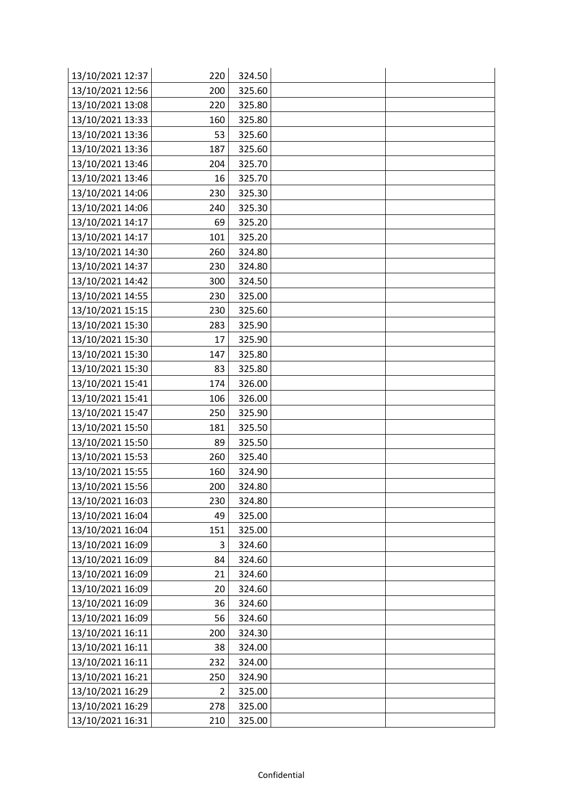| 13/10/2021 12:37 | 220 | 324.50 |  |
|------------------|-----|--------|--|
| 13/10/2021 12:56 | 200 | 325.60 |  |
| 13/10/2021 13:08 | 220 | 325.80 |  |
| 13/10/2021 13:33 | 160 | 325.80 |  |
| 13/10/2021 13:36 | 53  | 325.60 |  |
| 13/10/2021 13:36 | 187 | 325.60 |  |
| 13/10/2021 13:46 | 204 | 325.70 |  |
| 13/10/2021 13:46 | 16  | 325.70 |  |
| 13/10/2021 14:06 | 230 | 325.30 |  |
| 13/10/2021 14:06 | 240 | 325.30 |  |
| 13/10/2021 14:17 | 69  | 325.20 |  |
| 13/10/2021 14:17 | 101 | 325.20 |  |
| 13/10/2021 14:30 | 260 | 324.80 |  |
| 13/10/2021 14:37 | 230 | 324.80 |  |
| 13/10/2021 14:42 | 300 | 324.50 |  |
| 13/10/2021 14:55 | 230 | 325.00 |  |
| 13/10/2021 15:15 | 230 | 325.60 |  |
| 13/10/2021 15:30 | 283 | 325.90 |  |
| 13/10/2021 15:30 | 17  | 325.90 |  |
| 13/10/2021 15:30 | 147 | 325.80 |  |
| 13/10/2021 15:30 | 83  | 325.80 |  |
| 13/10/2021 15:41 | 174 | 326.00 |  |
| 13/10/2021 15:41 | 106 | 326.00 |  |
| 13/10/2021 15:47 | 250 | 325.90 |  |
| 13/10/2021 15:50 | 181 | 325.50 |  |
| 13/10/2021 15:50 | 89  | 325.50 |  |
| 13/10/2021 15:53 | 260 | 325.40 |  |
| 13/10/2021 15:55 | 160 | 324.90 |  |
| 13/10/2021 15:56 | 200 | 324.80 |  |
| 13/10/2021 16:03 | 230 | 324.80 |  |
| 13/10/2021 16:04 | 49  | 325.00 |  |
| 13/10/2021 16:04 | 151 | 325.00 |  |
| 13/10/2021 16:09 | 3   | 324.60 |  |
| 13/10/2021 16:09 | 84  | 324.60 |  |
| 13/10/2021 16:09 | 21  | 324.60 |  |
| 13/10/2021 16:09 | 20  | 324.60 |  |
| 13/10/2021 16:09 | 36  | 324.60 |  |
| 13/10/2021 16:09 | 56  | 324.60 |  |
| 13/10/2021 16:11 | 200 | 324.30 |  |
| 13/10/2021 16:11 | 38  | 324.00 |  |
| 13/10/2021 16:11 | 232 | 324.00 |  |
| 13/10/2021 16:21 | 250 | 324.90 |  |
| 13/10/2021 16:29 | 2   | 325.00 |  |
| 13/10/2021 16:29 | 278 | 325.00 |  |
| 13/10/2021 16:31 | 210 | 325.00 |  |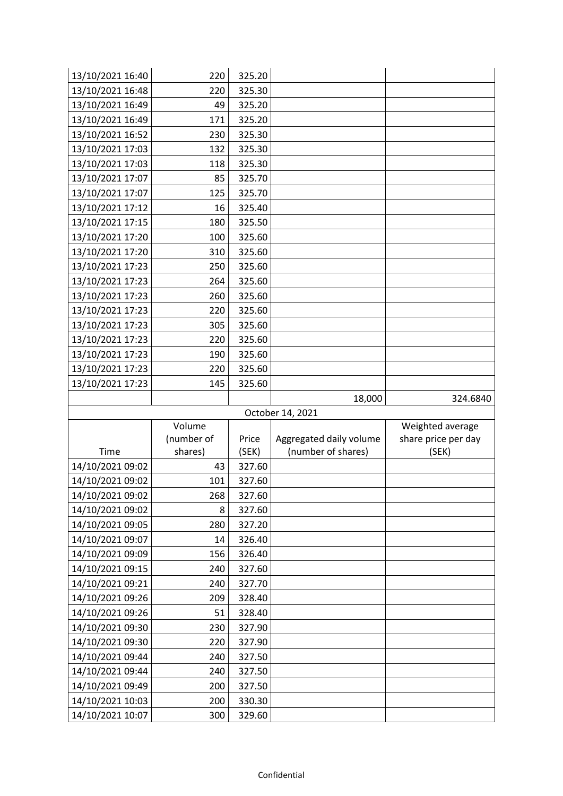| 13/10/2021 16:40                     | 220        | 325.20           |                         |                     |
|--------------------------------------|------------|------------------|-------------------------|---------------------|
| 13/10/2021 16:48                     | 220        | 325.30           |                         |                     |
| 13/10/2021 16:49                     | 49         | 325.20           |                         |                     |
| 13/10/2021 16:49                     | 171        | 325.20           |                         |                     |
| 13/10/2021 16:52                     | 230        | 325.30           |                         |                     |
| 13/10/2021 17:03                     | 132        | 325.30           |                         |                     |
| 13/10/2021 17:03                     | 118        | 325.30           |                         |                     |
| 13/10/2021 17:07                     | 85         | 325.70           |                         |                     |
| 13/10/2021 17:07                     | 125        | 325.70           |                         |                     |
| 13/10/2021 17:12                     | 16         | 325.40           |                         |                     |
| 13/10/2021 17:15                     | 180        | 325.50           |                         |                     |
| 13/10/2021 17:20                     | 100        | 325.60           |                         |                     |
| 13/10/2021 17:20                     | 310        | 325.60           |                         |                     |
| 13/10/2021 17:23                     | 250        | 325.60           |                         |                     |
| 13/10/2021 17:23                     | 264        | 325.60           |                         |                     |
| 13/10/2021 17:23                     | 260        | 325.60           |                         |                     |
| 13/10/2021 17:23                     | 220        | 325.60           |                         |                     |
| 13/10/2021 17:23                     | 305        | 325.60           |                         |                     |
| 13/10/2021 17:23                     | 220        | 325.60           |                         |                     |
| 13/10/2021 17:23                     | 190        | 325.60           |                         |                     |
| 13/10/2021 17:23                     | 220        | 325.60           |                         |                     |
| 13/10/2021 17:23                     | 145        | 325.60           |                         |                     |
|                                      |            |                  |                         |                     |
|                                      |            |                  | 18,000                  | 324.6840            |
|                                      |            |                  | October 14, 2021        |                     |
|                                      | Volume     |                  |                         | Weighted average    |
|                                      | (number of | Price            | Aggregated daily volume | share price per day |
| Time                                 | shares)    | (SEK)            | (number of shares)      | (SEK)               |
| 14/10/2021 09:02                     | 43         | 327.60           |                         |                     |
| 14/10/2021 09:02                     | 101        | 327.60           |                         |                     |
| 14/10/2021 09:02                     | 268        | 327.60           |                         |                     |
| 14/10/2021 09:02                     | 8          | 327.60           |                         |                     |
| 14/10/2021 09:05                     | 280        | 327.20           |                         |                     |
| 14/10/2021 09:07                     | 14         | 326.40           |                         |                     |
| 14/10/2021 09:09                     | 156        | 326.40           |                         |                     |
| 14/10/2021 09:15                     | 240        | 327.60           |                         |                     |
| 14/10/2021 09:21                     | 240        | 327.70           |                         |                     |
| 14/10/2021 09:26                     | 209        | 328.40           |                         |                     |
| 14/10/2021 09:26                     | 51         | 328.40           |                         |                     |
| 14/10/2021 09:30<br>14/10/2021 09:30 | 230<br>220 | 327.90<br>327.90 |                         |                     |
| 14/10/2021 09:44                     | 240        | 327.50           |                         |                     |
| 14/10/2021 09:44                     | 240        | 327.50           |                         |                     |
| 14/10/2021 09:49                     | 200        | 327.50           |                         |                     |
| 14/10/2021 10:03                     | 200        | 330.30           |                         |                     |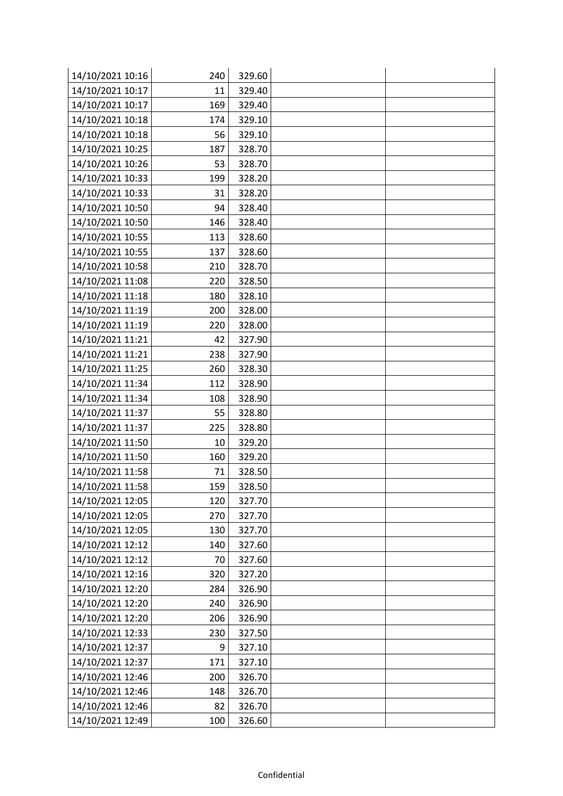| 14/10/2021 10:16 | 240 | 329.60 |  |
|------------------|-----|--------|--|
| 14/10/2021 10:17 | 11  | 329.40 |  |
| 14/10/2021 10:17 | 169 | 329.40 |  |
| 14/10/2021 10:18 | 174 | 329.10 |  |
| 14/10/2021 10:18 | 56  | 329.10 |  |
| 14/10/2021 10:25 | 187 | 328.70 |  |
| 14/10/2021 10:26 | 53  | 328.70 |  |
| 14/10/2021 10:33 | 199 | 328.20 |  |
| 14/10/2021 10:33 | 31  | 328.20 |  |
| 14/10/2021 10:50 | 94  | 328.40 |  |
| 14/10/2021 10:50 | 146 | 328.40 |  |
| 14/10/2021 10:55 | 113 | 328.60 |  |
| 14/10/2021 10:55 | 137 | 328.60 |  |
| 14/10/2021 10:58 | 210 | 328.70 |  |
| 14/10/2021 11:08 | 220 | 328.50 |  |
| 14/10/2021 11:18 | 180 | 328.10 |  |
| 14/10/2021 11:19 | 200 | 328.00 |  |
| 14/10/2021 11:19 | 220 | 328.00 |  |
| 14/10/2021 11:21 | 42  | 327.90 |  |
| 14/10/2021 11:21 | 238 | 327.90 |  |
| 14/10/2021 11:25 | 260 | 328.30 |  |
| 14/10/2021 11:34 | 112 | 328.90 |  |
| 14/10/2021 11:34 | 108 | 328.90 |  |
| 14/10/2021 11:37 | 55  | 328.80 |  |
| 14/10/2021 11:37 | 225 | 328.80 |  |
| 14/10/2021 11:50 | 10  | 329.20 |  |
| 14/10/2021 11:50 | 160 | 329.20 |  |
| 14/10/2021 11:58 | 71  | 328.50 |  |
| 14/10/2021 11:58 | 159 | 328.50 |  |
| 14/10/2021 12:05 | 120 | 327.70 |  |
| 14/10/2021 12:05 | 270 | 327.70 |  |
| 14/10/2021 12:05 | 130 | 327.70 |  |
| 14/10/2021 12:12 | 140 | 327.60 |  |
| 14/10/2021 12:12 | 70  | 327.60 |  |
| 14/10/2021 12:16 | 320 | 327.20 |  |
| 14/10/2021 12:20 | 284 | 326.90 |  |
| 14/10/2021 12:20 | 240 | 326.90 |  |
| 14/10/2021 12:20 | 206 | 326.90 |  |
| 14/10/2021 12:33 | 230 | 327.50 |  |
| 14/10/2021 12:37 | 9   | 327.10 |  |
| 14/10/2021 12:37 | 171 | 327.10 |  |
| 14/10/2021 12:46 | 200 | 326.70 |  |
| 14/10/2021 12:46 | 148 | 326.70 |  |
| 14/10/2021 12:46 | 82  | 326.70 |  |
| 14/10/2021 12:49 | 100 | 326.60 |  |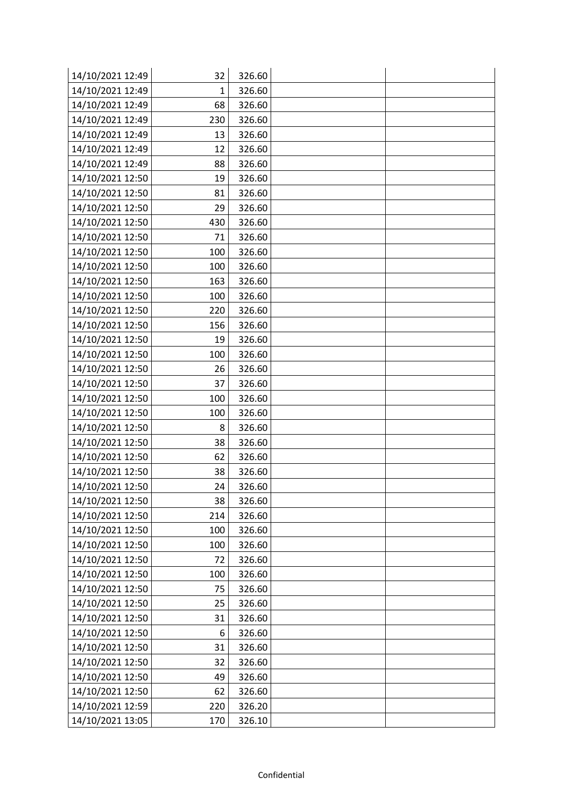| 14/10/2021 12:49 | 32  | 326.60 |  |
|------------------|-----|--------|--|
| 14/10/2021 12:49 | 1   | 326.60 |  |
| 14/10/2021 12:49 | 68  | 326.60 |  |
| 14/10/2021 12:49 | 230 | 326.60 |  |
| 14/10/2021 12:49 | 13  | 326.60 |  |
| 14/10/2021 12:49 | 12  | 326.60 |  |
| 14/10/2021 12:49 | 88  | 326.60 |  |
| 14/10/2021 12:50 | 19  | 326.60 |  |
| 14/10/2021 12:50 | 81  | 326.60 |  |
| 14/10/2021 12:50 | 29  | 326.60 |  |
| 14/10/2021 12:50 | 430 | 326.60 |  |
| 14/10/2021 12:50 | 71  | 326.60 |  |
| 14/10/2021 12:50 | 100 | 326.60 |  |
| 14/10/2021 12:50 | 100 | 326.60 |  |
| 14/10/2021 12:50 | 163 | 326.60 |  |
| 14/10/2021 12:50 | 100 | 326.60 |  |
| 14/10/2021 12:50 | 220 | 326.60 |  |
| 14/10/2021 12:50 | 156 | 326.60 |  |
| 14/10/2021 12:50 | 19  | 326.60 |  |
| 14/10/2021 12:50 | 100 | 326.60 |  |
| 14/10/2021 12:50 | 26  | 326.60 |  |
| 14/10/2021 12:50 | 37  | 326.60 |  |
| 14/10/2021 12:50 | 100 | 326.60 |  |
| 14/10/2021 12:50 | 100 | 326.60 |  |
| 14/10/2021 12:50 | 8   | 326.60 |  |
| 14/10/2021 12:50 | 38  | 326.60 |  |
| 14/10/2021 12:50 | 62  | 326.60 |  |
| 14/10/2021 12:50 | 38  | 326.60 |  |
| 14/10/2021 12:50 | 24  | 326.60 |  |
| 14/10/2021 12:50 | 38  | 326.60 |  |
| 14/10/2021 12:50 | 214 | 326.60 |  |
| 14/10/2021 12:50 | 100 | 326.60 |  |
| 14/10/2021 12:50 | 100 | 326.60 |  |
| 14/10/2021 12:50 | 72  | 326.60 |  |
| 14/10/2021 12:50 | 100 | 326.60 |  |
| 14/10/2021 12:50 | 75  | 326.60 |  |
| 14/10/2021 12:50 | 25  | 326.60 |  |
| 14/10/2021 12:50 | 31  | 326.60 |  |
| 14/10/2021 12:50 | 6   | 326.60 |  |
| 14/10/2021 12:50 | 31  | 326.60 |  |
| 14/10/2021 12:50 | 32  | 326.60 |  |
| 14/10/2021 12:50 | 49  | 326.60 |  |
| 14/10/2021 12:50 | 62  | 326.60 |  |
| 14/10/2021 12:59 | 220 | 326.20 |  |
| 14/10/2021 13:05 | 170 | 326.10 |  |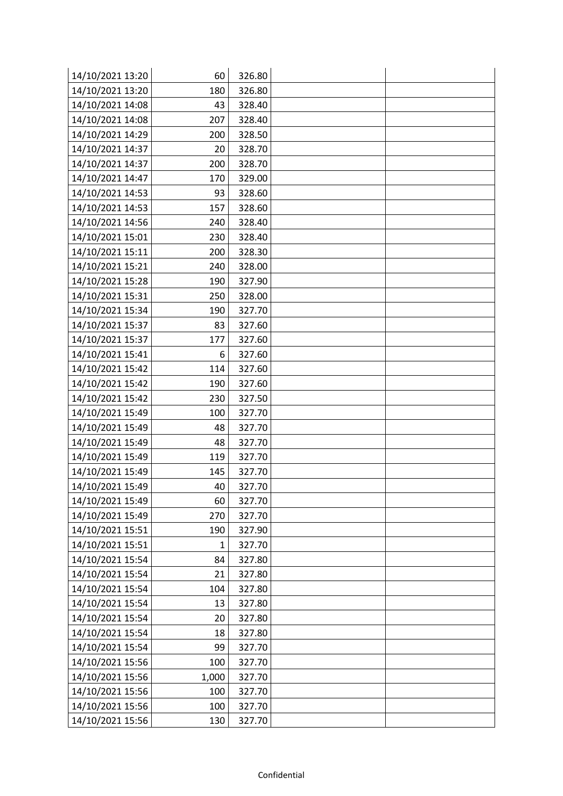| 14/10/2021 13:20 | 60    | 326.80 |  |
|------------------|-------|--------|--|
| 14/10/2021 13:20 | 180   | 326.80 |  |
| 14/10/2021 14:08 | 43    | 328.40 |  |
| 14/10/2021 14:08 | 207   | 328.40 |  |
| 14/10/2021 14:29 | 200   | 328.50 |  |
| 14/10/2021 14:37 | 20    | 328.70 |  |
| 14/10/2021 14:37 | 200   | 328.70 |  |
| 14/10/2021 14:47 | 170   | 329.00 |  |
| 14/10/2021 14:53 | 93    | 328.60 |  |
| 14/10/2021 14:53 | 157   | 328.60 |  |
| 14/10/2021 14:56 | 240   | 328.40 |  |
| 14/10/2021 15:01 | 230   | 328.40 |  |
| 14/10/2021 15:11 | 200   | 328.30 |  |
| 14/10/2021 15:21 | 240   | 328.00 |  |
| 14/10/2021 15:28 | 190   | 327.90 |  |
| 14/10/2021 15:31 | 250   | 328.00 |  |
| 14/10/2021 15:34 | 190   | 327.70 |  |
| 14/10/2021 15:37 | 83    | 327.60 |  |
| 14/10/2021 15:37 | 177   | 327.60 |  |
| 14/10/2021 15:41 | 6     | 327.60 |  |
| 14/10/2021 15:42 | 114   | 327.60 |  |
| 14/10/2021 15:42 | 190   | 327.60 |  |
| 14/10/2021 15:42 | 230   | 327.50 |  |
| 14/10/2021 15:49 | 100   | 327.70 |  |
| 14/10/2021 15:49 | 48    | 327.70 |  |
| 14/10/2021 15:49 | 48    | 327.70 |  |
| 14/10/2021 15:49 | 119   | 327.70 |  |
| 14/10/2021 15:49 | 145   | 327.70 |  |
| 14/10/2021 15:49 | 40    | 327.70 |  |
| 14/10/2021 15:49 | 60    | 327.70 |  |
| 14/10/2021 15:49 | 270   | 327.70 |  |
| 14/10/2021 15:51 | 190   | 327.90 |  |
| 14/10/2021 15:51 | 1     | 327.70 |  |
| 14/10/2021 15:54 | 84    | 327.80 |  |
| 14/10/2021 15:54 | 21    | 327.80 |  |
| 14/10/2021 15:54 | 104   | 327.80 |  |
| 14/10/2021 15:54 | 13    | 327.80 |  |
| 14/10/2021 15:54 | 20    | 327.80 |  |
| 14/10/2021 15:54 | 18    | 327.80 |  |
| 14/10/2021 15:54 | 99    | 327.70 |  |
| 14/10/2021 15:56 | 100   | 327.70 |  |
| 14/10/2021 15:56 | 1,000 | 327.70 |  |
| 14/10/2021 15:56 | 100   | 327.70 |  |
| 14/10/2021 15:56 | 100   | 327.70 |  |
| 14/10/2021 15:56 | 130   | 327.70 |  |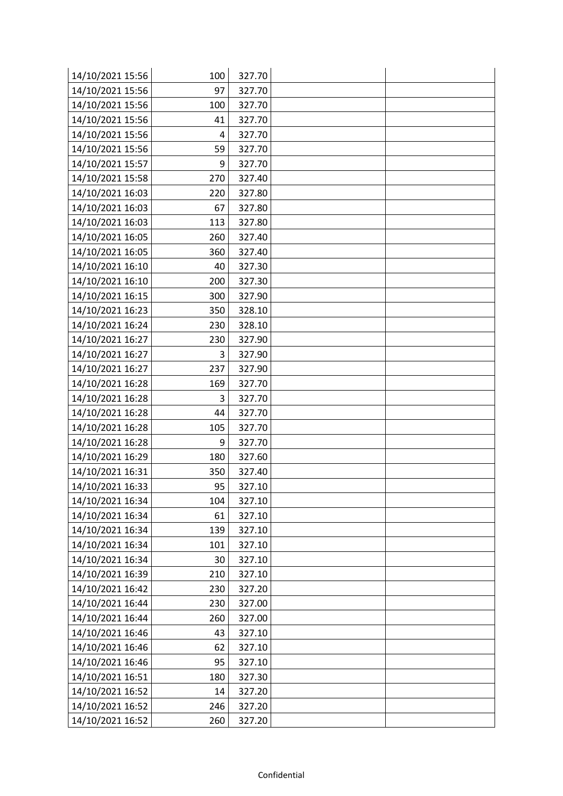| 14/10/2021 15:56 | 100 | 327.70 |  |
|------------------|-----|--------|--|
| 14/10/2021 15:56 | 97  | 327.70 |  |
| 14/10/2021 15:56 | 100 | 327.70 |  |
| 14/10/2021 15:56 | 41  | 327.70 |  |
| 14/10/2021 15:56 | 4   | 327.70 |  |
| 14/10/2021 15:56 | 59  | 327.70 |  |
| 14/10/2021 15:57 | 9   | 327.70 |  |
| 14/10/2021 15:58 | 270 | 327.40 |  |
| 14/10/2021 16:03 | 220 | 327.80 |  |
| 14/10/2021 16:03 | 67  | 327.80 |  |
| 14/10/2021 16:03 | 113 | 327.80 |  |
| 14/10/2021 16:05 | 260 | 327.40 |  |
| 14/10/2021 16:05 | 360 | 327.40 |  |
| 14/10/2021 16:10 | 40  | 327.30 |  |
| 14/10/2021 16:10 | 200 | 327.30 |  |
| 14/10/2021 16:15 | 300 | 327.90 |  |
| 14/10/2021 16:23 | 350 | 328.10 |  |
| 14/10/2021 16:24 | 230 | 328.10 |  |
| 14/10/2021 16:27 | 230 | 327.90 |  |
| 14/10/2021 16:27 | 3   | 327.90 |  |
| 14/10/2021 16:27 | 237 | 327.90 |  |
| 14/10/2021 16:28 | 169 | 327.70 |  |
| 14/10/2021 16:28 | 3   | 327.70 |  |
| 14/10/2021 16:28 | 44  | 327.70 |  |
| 14/10/2021 16:28 | 105 | 327.70 |  |
| 14/10/2021 16:28 | 9   | 327.70 |  |
| 14/10/2021 16:29 | 180 | 327.60 |  |
| 14/10/2021 16:31 | 350 | 327.40 |  |
| 14/10/2021 16:33 | 95  | 327.10 |  |
| 14/10/2021 16:34 | 104 | 327.10 |  |
| 14/10/2021 16:34 | 61  | 327.10 |  |
| 14/10/2021 16:34 | 139 | 327.10 |  |
| 14/10/2021 16:34 | 101 | 327.10 |  |
| 14/10/2021 16:34 | 30  | 327.10 |  |
| 14/10/2021 16:39 | 210 | 327.10 |  |
| 14/10/2021 16:42 | 230 | 327.20 |  |
| 14/10/2021 16:44 | 230 | 327.00 |  |
| 14/10/2021 16:44 | 260 | 327.00 |  |
| 14/10/2021 16:46 | 43  | 327.10 |  |
| 14/10/2021 16:46 | 62  | 327.10 |  |
| 14/10/2021 16:46 | 95  | 327.10 |  |
| 14/10/2021 16:51 | 180 | 327.30 |  |
| 14/10/2021 16:52 | 14  | 327.20 |  |
| 14/10/2021 16:52 | 246 | 327.20 |  |
| 14/10/2021 16:52 | 260 | 327.20 |  |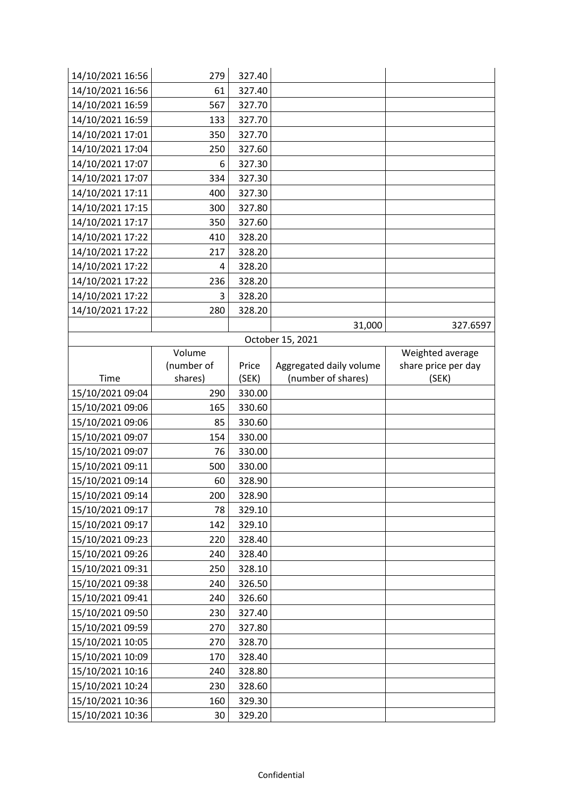| 14/10/2021 16:56 | 279        | 327.40 |                         |                     |
|------------------|------------|--------|-------------------------|---------------------|
| 14/10/2021 16:56 | 61         | 327.40 |                         |                     |
| 14/10/2021 16:59 | 567        | 327.70 |                         |                     |
| 14/10/2021 16:59 | 133        | 327.70 |                         |                     |
| 14/10/2021 17:01 | 350        | 327.70 |                         |                     |
| 14/10/2021 17:04 | 250        | 327.60 |                         |                     |
| 14/10/2021 17:07 | 6          | 327.30 |                         |                     |
| 14/10/2021 17:07 | 334        | 327.30 |                         |                     |
| 14/10/2021 17:11 | 400        | 327.30 |                         |                     |
| 14/10/2021 17:15 | 300        | 327.80 |                         |                     |
| 14/10/2021 17:17 | 350        | 327.60 |                         |                     |
| 14/10/2021 17:22 | 410        | 328.20 |                         |                     |
| 14/10/2021 17:22 | 217        | 328.20 |                         |                     |
| 14/10/2021 17:22 | 4          | 328.20 |                         |                     |
| 14/10/2021 17:22 | 236        | 328.20 |                         |                     |
| 14/10/2021 17:22 | 3          | 328.20 |                         |                     |
| 14/10/2021 17:22 | 280        | 328.20 |                         |                     |
|                  |            |        | 31,000                  | 327.6597            |
|                  |            |        | October 15, 2021        |                     |
|                  | Volume     |        |                         | Weighted average    |
|                  | (number of | Price  | Aggregated daily volume | share price per day |
| Time             | shares)    | (SEK)  | (number of shares)      | (SEK)               |
| 15/10/2021 09:04 | 290        | 330.00 |                         |                     |
| 15/10/2021 09:06 | 165        | 330.60 |                         |                     |
| 15/10/2021 09:06 | 85         | 330.60 |                         |                     |
| 15/10/2021 09:07 | 154        | 330.00 |                         |                     |
| 15/10/2021 09:07 | 76         | 330.00 |                         |                     |
| 15/10/2021 09:11 | 500        | 330.00 |                         |                     |
| 15/10/2021 09:14 | 60         | 328.90 |                         |                     |
| 15/10/2021 09:14 | 200        | 328.90 |                         |                     |
| 15/10/2021 09:17 | 78         | 329.10 |                         |                     |
| 15/10/2021 09:17 | 142        | 329.10 |                         |                     |
| 15/10/2021 09:23 | 220        | 328.40 |                         |                     |
| 15/10/2021 09:26 | 240        | 328.40 |                         |                     |
| 15/10/2021 09:31 | 250        | 328.10 |                         |                     |
| 15/10/2021 09:38 | 240        | 326.50 |                         |                     |
| 15/10/2021 09:41 | 240        | 326.60 |                         |                     |
| 15/10/2021 09:50 | 230        | 327.40 |                         |                     |
| 15/10/2021 09:59 | 270        | 327.80 |                         |                     |
| 15/10/2021 10:05 | 270        | 328.70 |                         |                     |
| 15/10/2021 10:09 | 170        | 328.40 |                         |                     |
| 15/10/2021 10:16 | 240        | 328.80 |                         |                     |
| 15/10/2021 10:24 | 230        | 328.60 |                         |                     |
| 15/10/2021 10:36 | 160        | 329.30 |                         |                     |
| 15/10/2021 10:36 | 30         | 329.20 |                         |                     |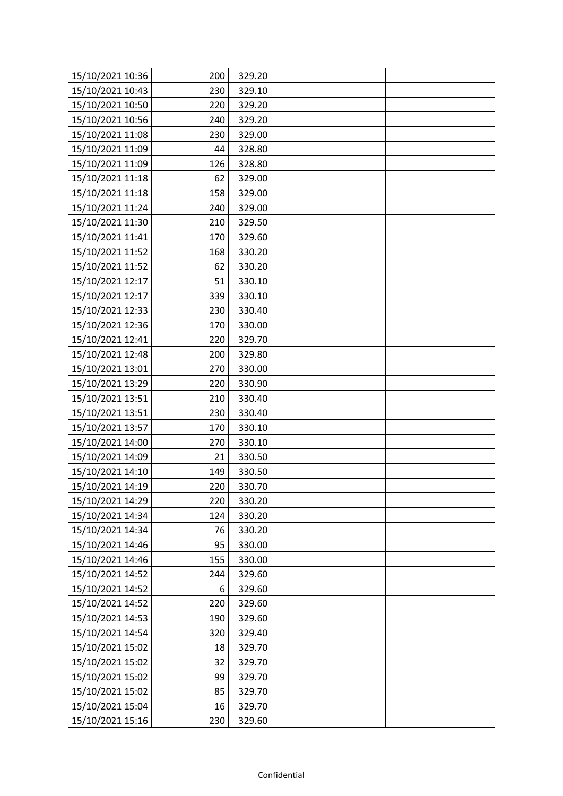| 15/10/2021 10:36 | 200 | 329.20 |  |
|------------------|-----|--------|--|
| 15/10/2021 10:43 | 230 | 329.10 |  |
| 15/10/2021 10:50 | 220 | 329.20 |  |
| 15/10/2021 10:56 | 240 | 329.20 |  |
| 15/10/2021 11:08 | 230 | 329.00 |  |
| 15/10/2021 11:09 | 44  | 328.80 |  |
| 15/10/2021 11:09 | 126 | 328.80 |  |
| 15/10/2021 11:18 | 62  | 329.00 |  |
| 15/10/2021 11:18 | 158 | 329.00 |  |
| 15/10/2021 11:24 | 240 | 329.00 |  |
| 15/10/2021 11:30 | 210 | 329.50 |  |
| 15/10/2021 11:41 | 170 | 329.60 |  |
| 15/10/2021 11:52 | 168 | 330.20 |  |
| 15/10/2021 11:52 | 62  | 330.20 |  |
| 15/10/2021 12:17 | 51  | 330.10 |  |
| 15/10/2021 12:17 | 339 | 330.10 |  |
| 15/10/2021 12:33 | 230 | 330.40 |  |
| 15/10/2021 12:36 | 170 | 330.00 |  |
| 15/10/2021 12:41 | 220 | 329.70 |  |
| 15/10/2021 12:48 | 200 | 329.80 |  |
| 15/10/2021 13:01 | 270 | 330.00 |  |
| 15/10/2021 13:29 | 220 | 330.90 |  |
| 15/10/2021 13:51 | 210 | 330.40 |  |
| 15/10/2021 13:51 | 230 | 330.40 |  |
| 15/10/2021 13:57 | 170 | 330.10 |  |
| 15/10/2021 14:00 | 270 | 330.10 |  |
| 15/10/2021 14:09 | 21  | 330.50 |  |
| 15/10/2021 14:10 | 149 | 330.50 |  |
| 15/10/2021 14:19 | 220 | 330.70 |  |
| 15/10/2021 14:29 | 220 | 330.20 |  |
| 15/10/2021 14:34 | 124 | 330.20 |  |
| 15/10/2021 14:34 | 76  | 330.20 |  |
| 15/10/2021 14:46 | 95  | 330.00 |  |
| 15/10/2021 14:46 | 155 | 330.00 |  |
| 15/10/2021 14:52 | 244 | 329.60 |  |
| 15/10/2021 14:52 | 6   | 329.60 |  |
| 15/10/2021 14:52 | 220 | 329.60 |  |
| 15/10/2021 14:53 | 190 | 329.60 |  |
| 15/10/2021 14:54 | 320 | 329.40 |  |
| 15/10/2021 15:02 | 18  | 329.70 |  |
| 15/10/2021 15:02 | 32  | 329.70 |  |
| 15/10/2021 15:02 | 99  | 329.70 |  |
| 15/10/2021 15:02 | 85  | 329.70 |  |
| 15/10/2021 15:04 | 16  | 329.70 |  |
| 15/10/2021 15:16 | 230 | 329.60 |  |